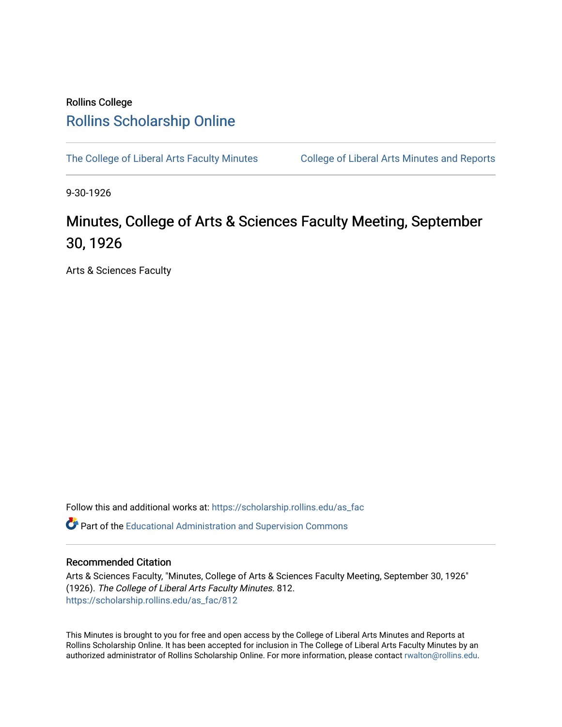## Rollins College [Rollins Scholarship Online](https://scholarship.rollins.edu/)

[The College of Liberal Arts Faculty Minutes](https://scholarship.rollins.edu/as_fac) College of Liberal Arts Minutes and Reports

9-30-1926

## Minutes, College of Arts & Sciences Faculty Meeting, September 30, 1926

Arts & Sciences Faculty

Follow this and additional works at: [https://scholarship.rollins.edu/as\\_fac](https://scholarship.rollins.edu/as_fac?utm_source=scholarship.rollins.edu%2Fas_fac%2F812&utm_medium=PDF&utm_campaign=PDFCoverPages) 

**P** Part of the [Educational Administration and Supervision Commons](http://network.bepress.com/hgg/discipline/787?utm_source=scholarship.rollins.edu%2Fas_fac%2F812&utm_medium=PDF&utm_campaign=PDFCoverPages)

## Recommended Citation

Arts & Sciences Faculty, "Minutes, College of Arts & Sciences Faculty Meeting, September 30, 1926" (1926). The College of Liberal Arts Faculty Minutes. 812. [https://scholarship.rollins.edu/as\\_fac/812](https://scholarship.rollins.edu/as_fac/812?utm_source=scholarship.rollins.edu%2Fas_fac%2F812&utm_medium=PDF&utm_campaign=PDFCoverPages) 

This Minutes is brought to you for free and open access by the College of Liberal Arts Minutes and Reports at Rollins Scholarship Online. It has been accepted for inclusion in The College of Liberal Arts Faculty Minutes by an authorized administrator of Rollins Scholarship Online. For more information, please contact [rwalton@rollins.edu](mailto:rwalton@rollins.edu).